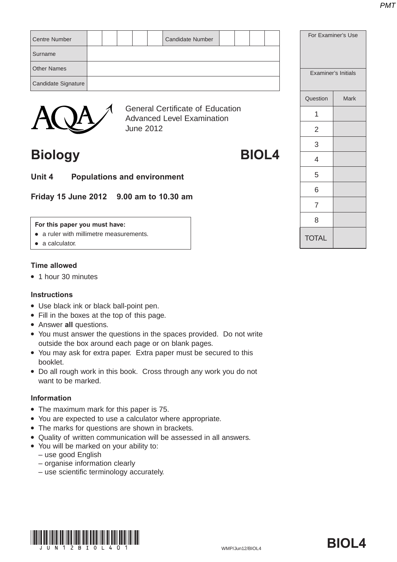| <b>Centre Number</b> |  |  | <b>Candidate Number</b>                      |  |  | For Examiner's Use |                     |
|----------------------|--|--|----------------------------------------------|--|--|--------------------|---------------------|
| Surname              |  |  |                                              |  |  |                    |                     |
| <b>Other Names</b>   |  |  |                                              |  |  |                    | Examiner's Initials |
| Candidate Signature  |  |  |                                              |  |  |                    |                     |
|                      |  |  |                                              |  |  | Question           | <b>Mark</b>         |
|                      |  |  | <b>General Certificate of Education</b><br>. |  |  |                    |                     |



Advanced Level Examination June 2012

### **Biology BIOL4**

**Unit 4 Populations and environment**

**Friday 15 June 2012 9.00 am to 10.30 am**

#### **For this paper you must have:**

- a ruler with millimetre measurements.
- $\bullet$  a calculator.

### **Time allowed**

• 1 hour 30 minutes

#### **Instructions**

- Use black ink or black ball-point pen.
- Fill in the boxes at the top of this page.
- **Answer all questions.**
- You must answer the questions in the spaces provided. Do not write outside the box around each page or on blank pages.
- You may ask for extra paper. Extra paper must be secured to this booklet.
- Do all rough work in this book. Cross through any work you do not want to be marked.

### **Information**

- The maximum mark for this paper is 75.
- You are expected to use a calculator where appropriate.
- The marks for questions are shown in brackets.
- Quality of written communication will be assessed in all answers.
- You will be marked on your ability to:
	- use good English
	- organise information clearly
	- use scientific terminology accurately.



# **TOTAL** 1 2 3 4 5 6 7 8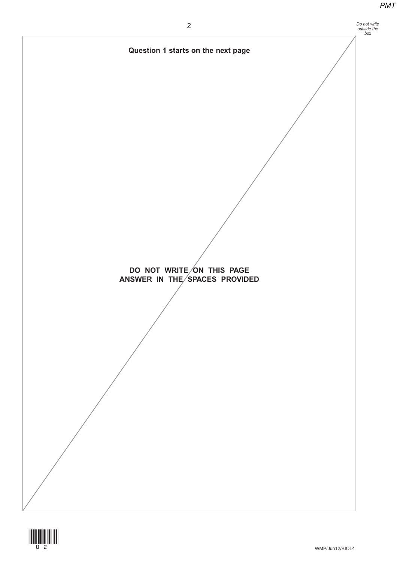

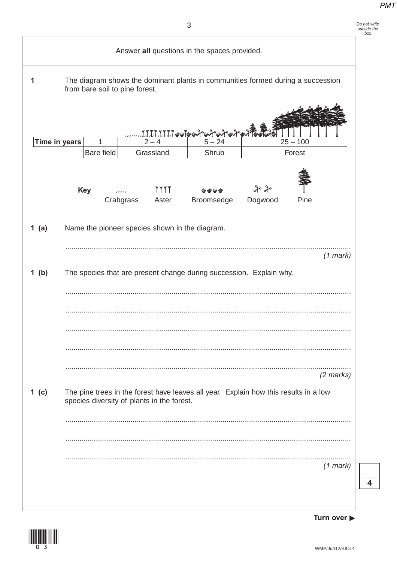### Do not write<br>outside the<br>box

|   |               |            |                                |                  |                                            | Answer all questions in the spaces provided.   |                                                                                      |            |             |
|---|---------------|------------|--------------------------------|------------------|--------------------------------------------|------------------------------------------------|--------------------------------------------------------------------------------------|------------|-------------|
| 1 |               |            | from bare soil to pine forest. |                  |                                            |                                                | The diagram shows the dominant plants in communities formed during a succession      |            |             |
|   |               |            |                                |                  |                                            | <u>77777777441442242242242242</u>              |                                                                                      |            |             |
|   | Time in years |            | 1                              |                  | $2 - 4$                                    | $5 - 24$                                       |                                                                                      | $25 - 100$ |             |
|   |               |            | Bare field                     |                  | Grassland                                  | Shrub                                          |                                                                                      | Forest     |             |
|   |               | <b>Key</b> |                                | aaa<br>Crabgrass | <b>YYYY</b><br>Aster                       | WWWW<br>Broomsedge                             | ನೀ ಸೀ<br>Dogwood                                                                     | Pine       |             |
|   | 1 $(a)$       |            |                                |                  |                                            | Name the pioneer species shown in the diagram. |                                                                                      |            |             |
|   |               |            |                                |                  |                                            |                                                |                                                                                      |            | $(1$ mark)  |
|   | $1$ (b)       |            |                                |                  |                                            |                                                | The species that are present change during succession. Explain why.                  |            |             |
|   |               |            |                                |                  |                                            |                                                |                                                                                      |            |             |
|   |               |            |                                |                  |                                            |                                                |                                                                                      |            |             |
|   |               |            |                                |                  |                                            |                                                |                                                                                      |            |             |
|   |               |            |                                |                  |                                            |                                                |                                                                                      |            |             |
|   |               |            |                                |                  |                                            |                                                |                                                                                      |            | $(2$ marks) |
|   | 1 $(c)$       |            |                                |                  | species diversity of plants in the forest. |                                                | The pine trees in the forest have leaves all year. Explain how this results in a low |            |             |
|   |               |            |                                |                  |                                            |                                                |                                                                                      |            |             |
|   |               |            |                                |                  |                                            |                                                |                                                                                      |            |             |
|   |               |            |                                |                  |                                            |                                                |                                                                                      |            | $(1$ mark)  |
|   |               |            |                                |                  |                                            |                                                |                                                                                      |            |             |
|   |               |            |                                |                  |                                            |                                                |                                                                                      |            |             |



Turn over  $\blacktriangleright$ 

 $\overline{4}$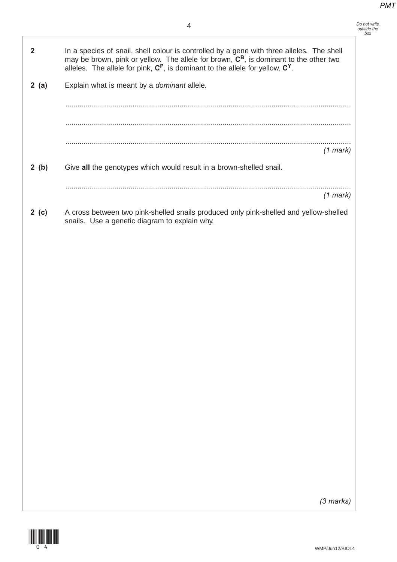*Do not write outside the box*

| $\overline{2}$ |       | In a species of snail, shell colour is controlled by a gene with three alleles. The shell<br>may be brown, pink or yellow. The allele for brown, C <sup>B</sup> , is dominant to the other two<br>alleles. The allele for pink, $C^P$ , is dominant to the allele for yellow, $C^Y$ . |
|----------------|-------|---------------------------------------------------------------------------------------------------------------------------------------------------------------------------------------------------------------------------------------------------------------------------------------|
|                | 2(a)  | Explain what is meant by a dominant allele.                                                                                                                                                                                                                                           |
|                |       |                                                                                                                                                                                                                                                                                       |
|                |       |                                                                                                                                                                                                                                                                                       |
|                |       |                                                                                                                                                                                                                                                                                       |
|                |       | $(1$ mark)                                                                                                                                                                                                                                                                            |
|                | 2(b)  | Give all the genotypes which would result in a brown-shelled snail.                                                                                                                                                                                                                   |
|                |       | $(1$ mark)                                                                                                                                                                                                                                                                            |
|                | 2 (c) | A cross between two pink-shelled snails produced only pink-shelled and yellow-shelled<br>snails. Use a genetic diagram to explain why.                                                                                                                                                |
|                |       |                                                                                                                                                                                                                                                                                       |
|                |       |                                                                                                                                                                                                                                                                                       |
|                |       |                                                                                                                                                                                                                                                                                       |
|                |       |                                                                                                                                                                                                                                                                                       |
|                |       |                                                                                                                                                                                                                                                                                       |
|                |       |                                                                                                                                                                                                                                                                                       |
|                |       |                                                                                                                                                                                                                                                                                       |
|                |       |                                                                                                                                                                                                                                                                                       |
|                |       |                                                                                                                                                                                                                                                                                       |
|                |       |                                                                                                                                                                                                                                                                                       |
|                |       |                                                                                                                                                                                                                                                                                       |
|                |       |                                                                                                                                                                                                                                                                                       |
|                |       |                                                                                                                                                                                                                                                                                       |
|                |       |                                                                                                                                                                                                                                                                                       |
|                |       |                                                                                                                                                                                                                                                                                       |
|                |       | $(2$ morked                                                                                                                                                                                                                                                                           |



*(3 marks)*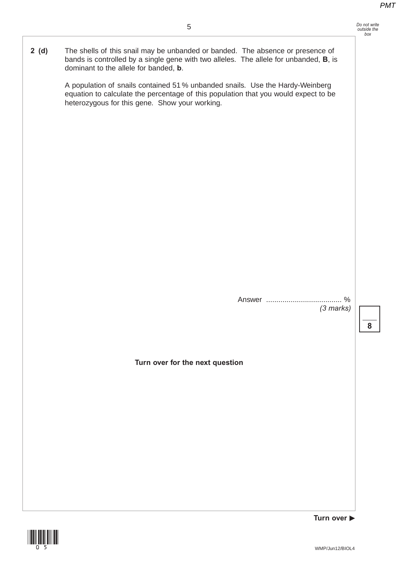**2 (d)** The shells of this snail may be unbanded or banded. The absence or presence of bands is controlled by a single gene with two alleles. The allele for unbanded, **B**, is dominant to the allele for banded, **b**.

> A population of snails contained 51 % unbanded snails. Use the Hardy-Weinberg equation to calculate the percentage of this population that you would expect to be heterozygous for this gene. Show your working.

> > Answer ..................................... % *(3 marks)*

> > > **8**

**Turn over for the next question**



**Turn over**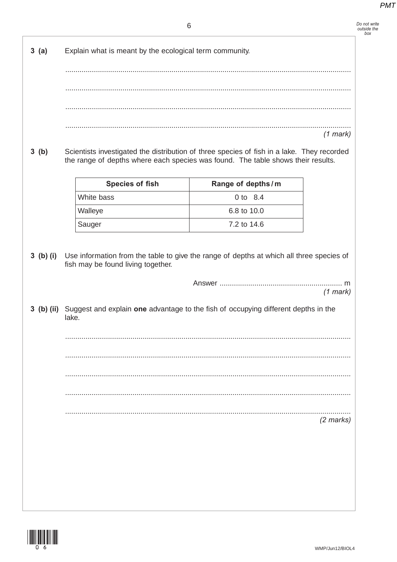|      | 6                                                                                                                                                                              |                   | Do not write<br>outside the<br>box |
|------|--------------------------------------------------------------------------------------------------------------------------------------------------------------------------------|-------------------|------------------------------------|
| 3(a) | Explain what is meant by the ecological term community.                                                                                                                        |                   |                                    |
|      |                                                                                                                                                                                |                   |                                    |
|      |                                                                                                                                                                                |                   |                                    |
|      |                                                                                                                                                                                |                   | $(1$ mark)                         |
| 3(b) | Scientists investigated the distribution of three species of fish in a lake. They recorded<br>the range of depths where each species was found. The table shows their results. |                   |                                    |
|      | <b>Species of fish</b>                                                                                                                                                         | Range of depths/m |                                    |
|      | White bass                                                                                                                                                                     | 0 to 8.4          |                                    |
|      | Walleye                                                                                                                                                                        | 6.8 to 10.0       |                                    |
|      | Sauger                                                                                                                                                                         | 7.2 to 14.6       |                                    |
|      | 3 (b) (ii) Suggest and explain one advantage to the fish of occupying different depths in the<br>lake.                                                                         |                   | $(1$ mark)                         |
|      |                                                                                                                                                                                |                   |                                    |
|      |                                                                                                                                                                                |                   |                                    |
|      |                                                                                                                                                                                |                   |                                    |
|      |                                                                                                                                                                                |                   |                                    |
|      |                                                                                                                                                                                |                   | $(2$ marks)                        |
|      |                                                                                                                                                                                |                   |                                    |
|      |                                                                                                                                                                                |                   |                                    |
|      |                                                                                                                                                                                |                   |                                    |
|      |                                                                                                                                                                                |                   |                                    |

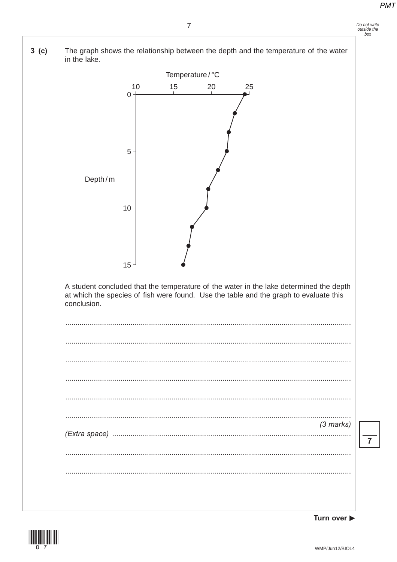

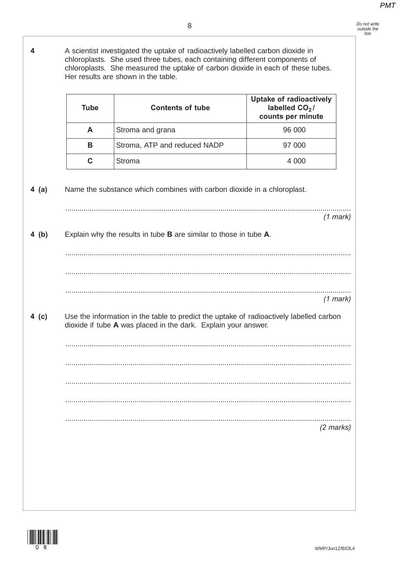**4** A scientist investigated the uptake of radioactively labelled carbon dioxide in chloroplasts. She used three tubes, each containing different components of chloroplasts. She measured the uptake of carbon dioxide in each of these tubes. Her results are shown in the table. **4 (a)** Name the substance which combines with carbon dioxide in a chloroplast. ............................................................................................................................................ *(1 mark)* **4 (b)** Explain why the results in tube **B** are similar to those in tube **A**. ............................................................................................................................................ ............................................................................................................................................ ............................................................................................................................................ *(1 mark)* **4 (c)** Use the information in the table to predict the uptake of radioactively labelled carbon dioxide if tube **A** was placed in the dark. Explain your answer. ............................................................................................................................................ ............................................................................................................................................ ............................................................................................................................................ ............................................................................................................................................ ............................................................................................................................................ *(2 marks)* **Tube Contents of tube Uptake of radioactively** labelled CO<sub>2</sub>/ **counts per minute A** Stroma and grana **1996** 1996 1907 **B** Stroma, ATP and reduced NADP 97 000 **C** Stroma 4 000

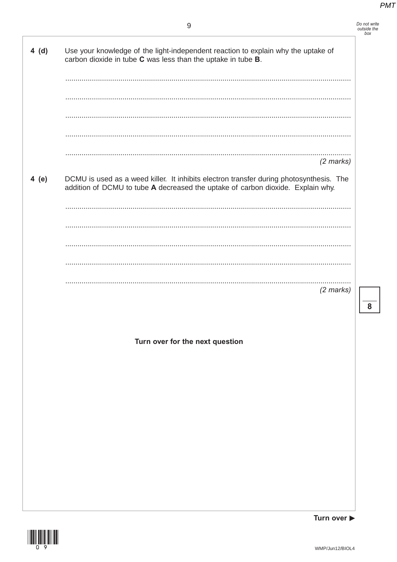### $\boldsymbol{9}$

| Do not write |
|--------------|
| outside the  |
| box          |

 $\overline{\mathbf{8}}$ 

| 4(d)  | Use your knowledge of the light-independent reaction to explain why the uptake of<br>carbon dioxide in tube C was less than the uptake in tube B.                          |
|-------|----------------------------------------------------------------------------------------------------------------------------------------------------------------------------|
|       |                                                                                                                                                                            |
|       |                                                                                                                                                                            |
|       | $(2$ marks)                                                                                                                                                                |
| 4 (e) | DCMU is used as a weed killer. It inhibits electron transfer during photosynthesis. The<br>addition of DCMU to tube A decreased the uptake of carbon dioxide. Explain why. |
|       |                                                                                                                                                                            |
|       |                                                                                                                                                                            |
|       |                                                                                                                                                                            |
|       |                                                                                                                                                                            |
|       | $(2$ marks)                                                                                                                                                                |
|       |                                                                                                                                                                            |
|       | Turn over for the next question                                                                                                                                            |
|       |                                                                                                                                                                            |
|       |                                                                                                                                                                            |
|       |                                                                                                                                                                            |
|       |                                                                                                                                                                            |
|       |                                                                                                                                                                            |
|       |                                                                                                                                                                            |
|       |                                                                                                                                                                            |



Turn over  $\blacktriangleright$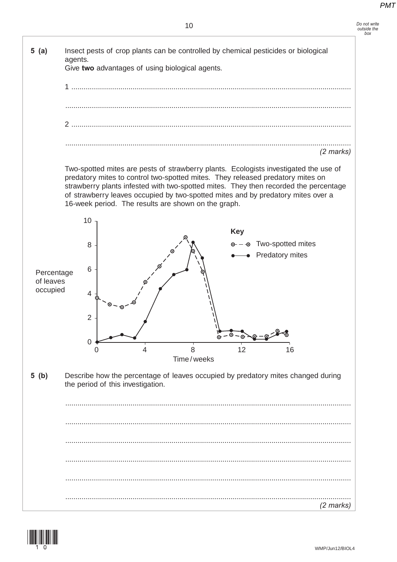

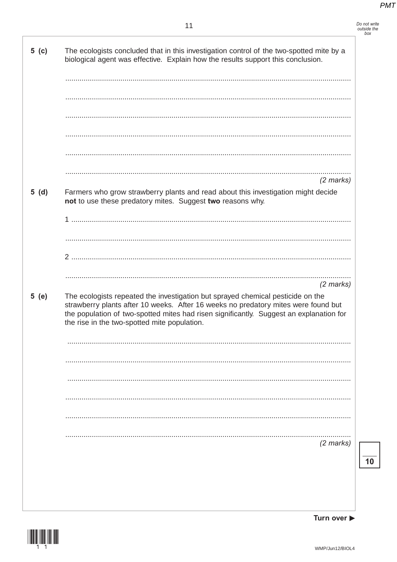Do not write<br>outside the<br>box

| 5( c ) | The ecologists concluded that in this investigation control of the two-spotted mite by a<br>biological agent was effective. Explain how the results support this conclusion.                                                                                                                                                    |
|--------|---------------------------------------------------------------------------------------------------------------------------------------------------------------------------------------------------------------------------------------------------------------------------------------------------------------------------------|
|        |                                                                                                                                                                                                                                                                                                                                 |
|        |                                                                                                                                                                                                                                                                                                                                 |
|        | $(2$ marks)                                                                                                                                                                                                                                                                                                                     |
| 5(d)   | Farmers who grow strawberry plants and read about this investigation might decide<br>not to use these predatory mites. Suggest two reasons why.                                                                                                                                                                                 |
|        |                                                                                                                                                                                                                                                                                                                                 |
|        | 2                                                                                                                                                                                                                                                                                                                               |
| 5(e)   | $(2$ marks)<br>The ecologists repeated the investigation but sprayed chemical pesticide on the<br>strawberry plants after 10 weeks. After 16 weeks no predatory mites were found but<br>the population of two-spotted mites had risen significantly. Suggest an explanation for<br>the rise in the two-spotted mite population. |
|        |                                                                                                                                                                                                                                                                                                                                 |
|        |                                                                                                                                                                                                                                                                                                                                 |
|        |                                                                                                                                                                                                                                                                                                                                 |
|        |                                                                                                                                                                                                                                                                                                                                 |
|        | (2 marks)                                                                                                                                                                                                                                                                                                                       |
|        |                                                                                                                                                                                                                                                                                                                                 |
|        |                                                                                                                                                                                                                                                                                                                                 |



 $\overline{10}$ 

Turn over  $\blacktriangleright$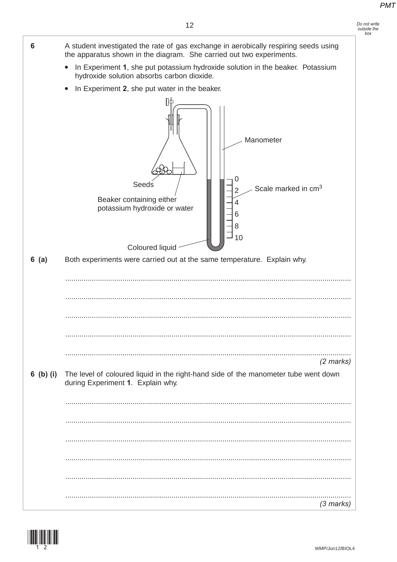Do not write<br>outside the  $box$ 



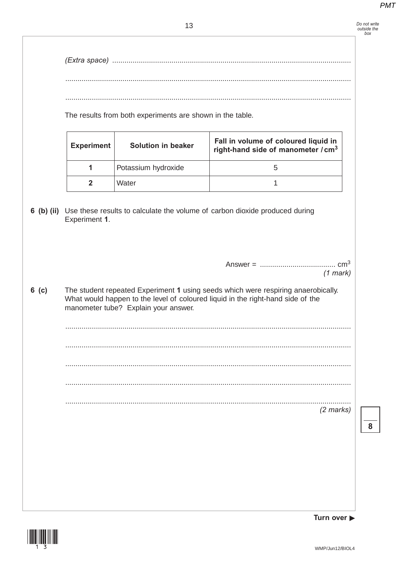Do not write<br>outside the<br>box

|         |                   | The results from both experiments are shown in the table. |                                                                                        |
|---------|-------------------|-----------------------------------------------------------|----------------------------------------------------------------------------------------|
|         | <b>Experiment</b> | <b>Solution in beaker</b>                                 | Fall in volume of coloured liquid in<br>right-hand side of manometer / cm <sup>3</sup> |
|         | 1                 | Potassium hydroxide                                       | 5                                                                                      |
|         | $\mathbf{2}$      | Water                                                     | 1                                                                                      |
|         |                   |                                                           |                                                                                        |
| $6$ (c) |                   |                                                           |                                                                                        |
|         |                   | manometer tube? Explain your answer.                      | What would happen to the level of coloured liquid in the right-hand side of the        |
|         |                   |                                                           |                                                                                        |
|         |                   |                                                           |                                                                                        |
|         |                   |                                                           | The student repeated Experiment 1 using seeds which were respiring anaerobically.      |

Turn over  $\blacktriangleright$ 

 $\overline{\mathbf{8}}$ 

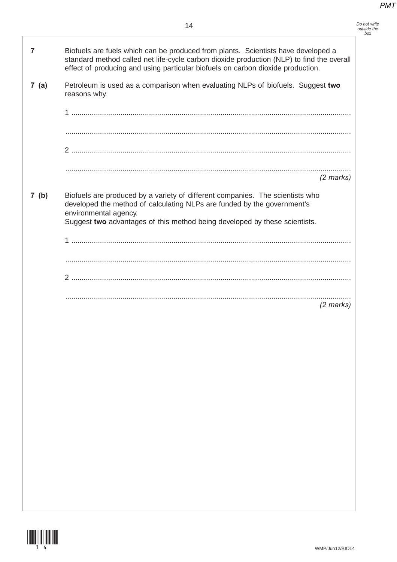*Do not write outside the box*

| 7    | Biofuels are fuels which can be produced from plants. Scientists have developed a<br>standard method called net life-cycle carbon dioxide production (NLP) to find the overall<br>effect of producing and using particular biofuels on carbon dioxide production. |
|------|-------------------------------------------------------------------------------------------------------------------------------------------------------------------------------------------------------------------------------------------------------------------|
| 7(a) | Petroleum is used as a comparison when evaluating NLPs of biofuels. Suggest two<br>reasons why.                                                                                                                                                                   |
|      |                                                                                                                                                                                                                                                                   |
|      |                                                                                                                                                                                                                                                                   |
|      |                                                                                                                                                                                                                                                                   |
|      | $(2$ marks)                                                                                                                                                                                                                                                       |
|      |                                                                                                                                                                                                                                                                   |
| 7(b) | Biofuels are produced by a variety of different companies. The scientists who<br>developed the method of calculating NLPs are funded by the government's<br>environmental agency.<br>Suggest two advantages of this method being developed by these scientists.   |
|      |                                                                                                                                                                                                                                                                   |
|      |                                                                                                                                                                                                                                                                   |
|      |                                                                                                                                                                                                                                                                   |
|      | $(2 \text{ marks})$                                                                                                                                                                                                                                               |

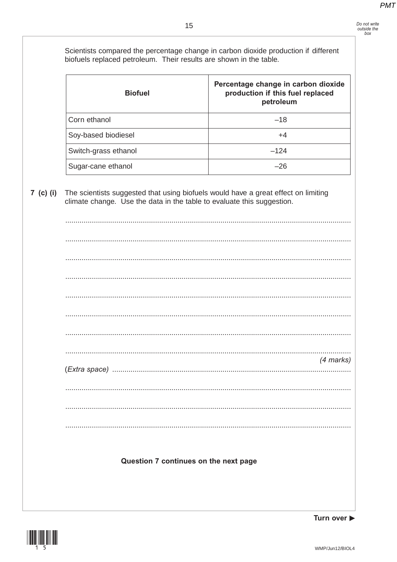Scientists compared the percentage change in carbon dioxide production if different biofuels replaced petroleum. Their results are shown in the table. Percentage change in carbon dioxide **Biofuel** production if this fuel replaced petroleum Corn ethanol  $-18$ Soy-based biodiesel  $+4$  $-124$ Switch-grass ethanol Sugar-cane ethanol  $-26$  $7$  (c) (i) The scientists suggested that using biofuels would have a great effect on limiting climate change. Use the data in the table to evaluate this suggestion. (4 marks) Question 7 continues on the next page



Turn over ▶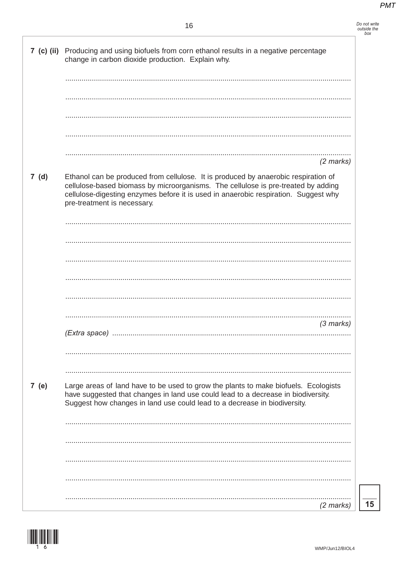#### 16

- Do not write<br>outside the box<br>box
- 7 (c) (ii) Producing and using biofuels from corn ethanol results in a negative percentage change in carbon dioxide production. Explain why.  $(2 \text{ marks})$  $7(d)$ Ethanol can be produced from cellulose. It is produced by anaerobic respiration of cellulose-based biomass by microorganisms. The cellulose is pre-treated by adding cellulose-digesting enzymes before it is used in anaerobic respiration. Suggest why pre-treatment is necessary.  $(3$  marks) 7 (e) Large areas of land have to be used to grow the plants to make biofuels. Ecologists have suggested that changes in land use could lead to a decrease in biodiversity. Suggest how changes in land use could lead to a decrease in biodiversity.  $(2$  marks)

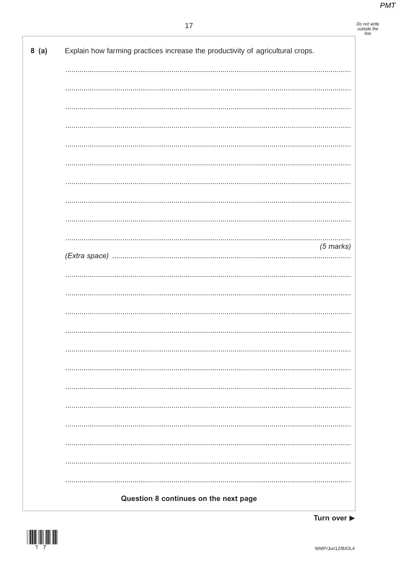### Do not write<br>outside the<br>box

| 8(a) | Explain how farming practices increase the productivity of agricultural crops. |
|------|--------------------------------------------------------------------------------|
|      |                                                                                |
|      |                                                                                |
|      |                                                                                |
|      |                                                                                |
|      |                                                                                |
|      |                                                                                |
|      |                                                                                |
|      |                                                                                |
|      |                                                                                |
|      | $(5$ marks)                                                                    |
|      |                                                                                |
|      |                                                                                |
|      |                                                                                |
|      |                                                                                |
|      |                                                                                |
|      |                                                                                |
|      |                                                                                |
|      |                                                                                |
|      |                                                                                |
|      |                                                                                |
|      |                                                                                |
|      |                                                                                |
|      |                                                                                |
|      | Question 8 continues on the next page                                          |

Turn over  $\blacktriangleright$ 

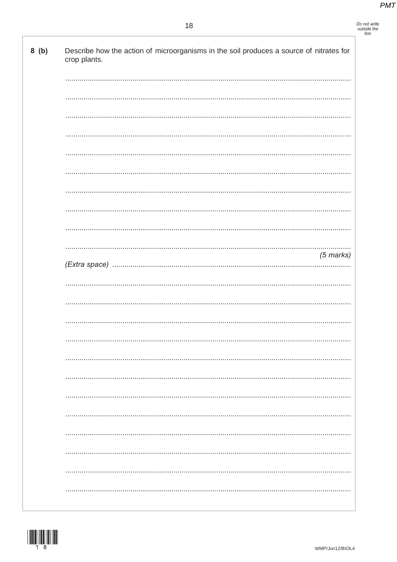## Do not write<br>outside the<br>box

| 8(b) | Describe how the action of microorganisms in the soil produces a source of nitrates for<br>crop plants. |
|------|---------------------------------------------------------------------------------------------------------|
|      |                                                                                                         |
|      |                                                                                                         |
|      |                                                                                                         |
|      |                                                                                                         |
|      |                                                                                                         |
|      |                                                                                                         |
|      |                                                                                                         |
|      |                                                                                                         |
|      | $(5$ marks)                                                                                             |
|      |                                                                                                         |
|      |                                                                                                         |
|      |                                                                                                         |
|      |                                                                                                         |
|      |                                                                                                         |
|      |                                                                                                         |
|      |                                                                                                         |
|      |                                                                                                         |
|      |                                                                                                         |
|      |                                                                                                         |
|      |                                                                                                         |
|      |                                                                                                         |

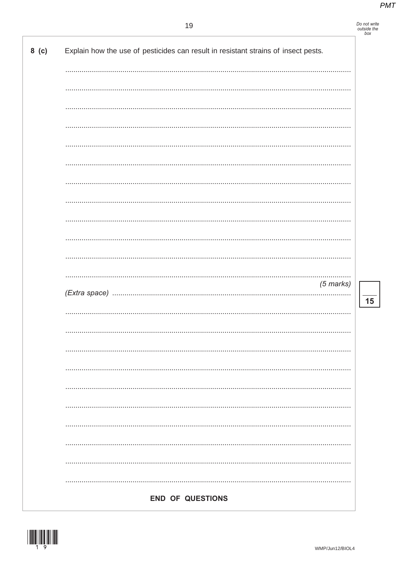| Do not write |
|--------------|
| outside the  |
| box          |

|  |  | $(5$ marks) |
|--|--|-------------|
|  |  |             |
|  |  |             |
|  |  |             |
|  |  |             |
|  |  |             |
|  |  |             |
|  |  |             |
|  |  |             |
|  |  |             |
|  |  |             |
|  |  |             |
|  |  |             |